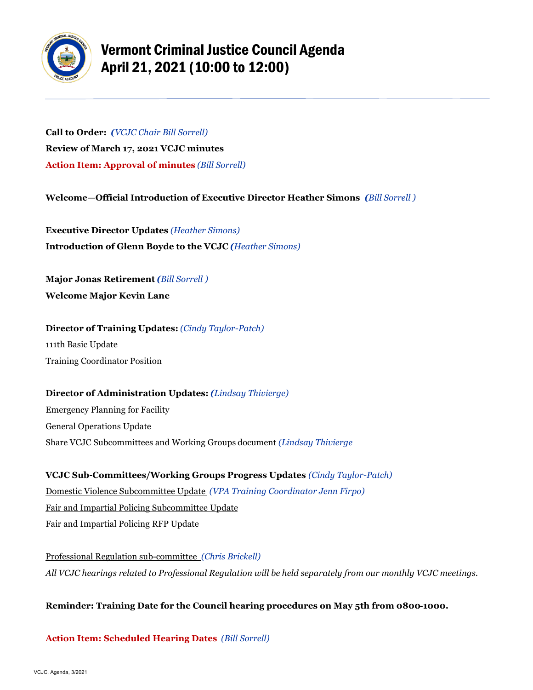

## Vermont Criminal Justice Council Agenda April 21, 2021 (10:00 to 12:00)

**Call to Order:** *(VCJC Chair Bill Sorrell)* **Review of March 17, 2021 VCJC minutes Action Item: Approval of minutes** *(Bill Sorrell)*

**Welcome—Official Introduction of Executive Director Heather Simons** *(Bill Sorrell )*

**Executive Director Updates** *(Heather Simons)*  **Introduction of Glenn Boyde to the VCJC** *(Heather Simons)*

**Major Jonas Retirement** *(Bill Sorrell )* **Welcome Major Kevin Lane**

**Director of Training Updates:** *(Cindy Taylor-Patch)* 111th Basic Update Training Coordinator Position

**Director of Administration Updates:** *(Lindsay Thivierge)* Emergency Planning for Facility General Operations Update Share VCJC Subcommittees and Working Groups document *(Lindsay Thivierge*

**VCJC Sub-Committees/Working Groups Progress Updates** *(Cindy Taylor-Patch)* Domestic Violence Subcommittee Update *(VPA Training Coordinator Jenn Firpo)* Fair and Impartial Policing Subcommittee Update Fair and Impartial Policing RFP Update

Professional Regulation sub-committee *(Chris Brickell) All VCJC hearings related to Professional Regulation will be held separately from our monthly VCJC meetings.*

## **Reminder: Training Date for the Council hearing procedures on May 5th from 0800-1000.**

**Action Item: Scheduled Hearing Dates** *(Bill Sorrell)*